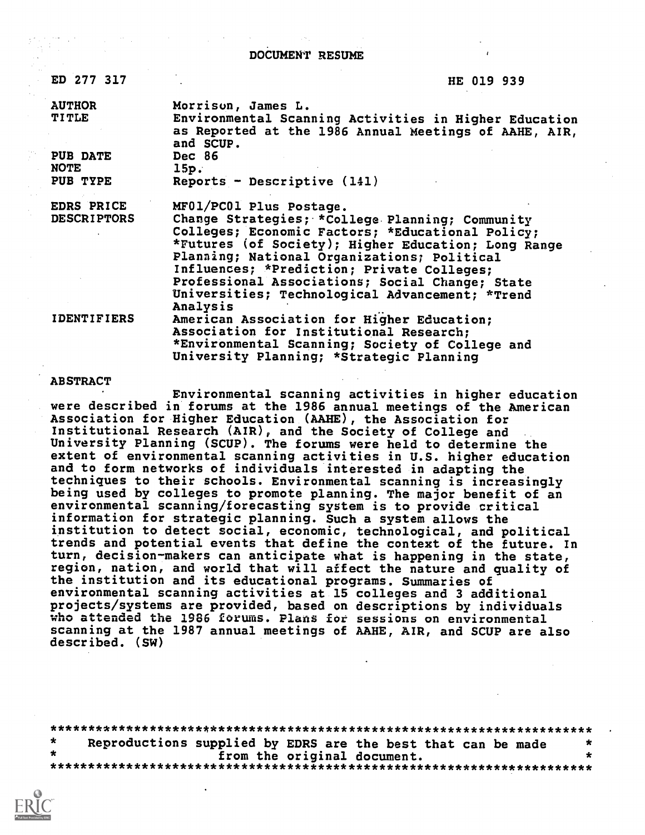DOCUMENT RESUNE

ED 277 317 HE 019 939

PUB DATE<br>NOTE NOTE 15p.<br>PUB TYPE Repo

AUTHOR Morrison, James L. Environmental Scanning Activities in Higher Education as Reported at the 1986 Annual Meetings of AAHE, AIR, and SCUP.<br>Dec 86  $Reports - Descriptive (141)$ 

EDRS PRICE MF01/PC01 Plus Postage.<br>DESCRIPTORS Change Strategies: \*Col Change Strategies; \*College Planning; Community Colleges; Economic Factors; \*Educational Policy; \*Futures (of Society); Higher Education; Long Range Planning; National Organizations; Political Influences; \*Prediction; Private Colleges; Professional Associations; Social Change; State Universities; Technological Advancement; \*Trend Analysis IDENTIFIERS American Association for Higher Education;

Association for Institutional Research; \*Environmental Scanning; Society of College and University Planning; \*Strategic Planning

## ABSTRACT

Environmental scanning activities in higher education were described in forums at the 1986 annual meetings of the American Association for Higher Education (AAHE), the Association for Institutional Research (AIR), and the Society of College and University Planning (SCUP). The forums were held to determine the extent of environmental scanning activities in U.S. higher education and to form networks of individuals interested in adapting the techniques to their schools. Environmental scanning is increasingly being used by colleges to promote planning. The major benefit of an environmental scanning/forecasting system is to provide critical information for strategic planning. Such a system allows the institution to detect social, economic, technological, and political trends and potential events that define the context of the future. In turn, decision-makers can anticipate what is happening in the state, region, nation, and world that will affect the nature and quality of the institution and its educational programs. Summaries of environmental scanning activities at 15 colleges and 3 additional projects/systems are provided, based on descriptions by individuals who attended the 1986 forums. Plans for sessions on environmental scanning at the 1987 annual meetings of AAHE, AIR, and SCUP are also described. (SW)

\*\*\*\*\*\*\*\*\*\*\*\*\*\*\*\*\*\*\*\*\*\*\*\*\*\*\*\*\*\*\*\*\*\*\*\*\*\*\*\*\*\*\*\*\*\*\*\*\*\*\*\*\*\*\*\*\*\*\*\*\*\*\*\*\*\*\*\*\*\*\*  $\star$ Reproductions supplied by EDRS are the best that can be made<br>from the original document. from the original document. \*\*\*\*\*\*\*\*\*\*\*\*\*\*\*\*\*\*\*\*\*\*\*\*\*\*\*\*\*\*\*\*\*\*\*\*\*\*\*\*\*\*\*\*\*\*\*\*\*\*\*\*\*\*\*\*\*\*\*\*\*\*\*\*\*\*\*\*\*\*\*

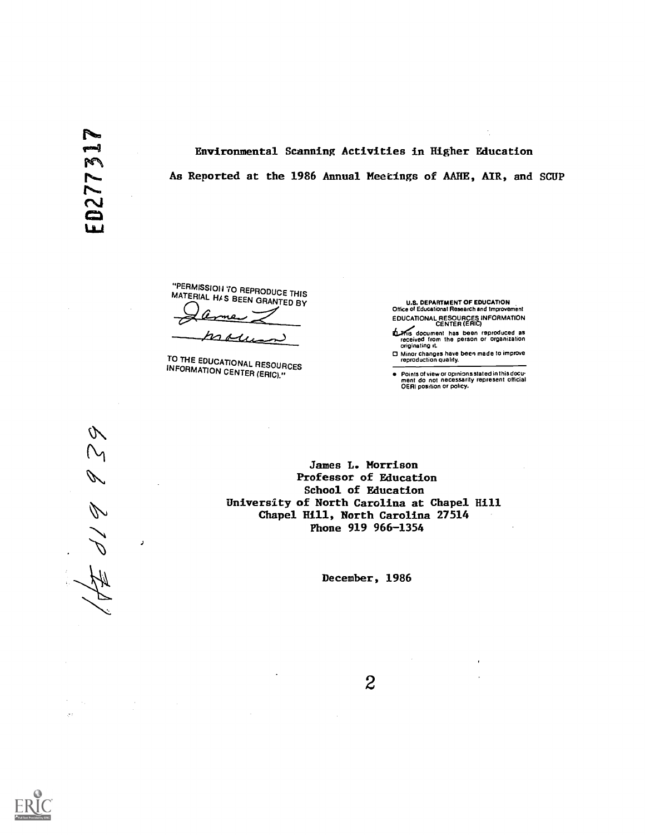Environmental Scanning Activities in Higher Education As Reported at the 1986 Annual Meetings of AARE, AIR, and SCUP

"PERMISSION TO REPRODUCE THIS MATERIAL HAS BEEN GRANTED BY

more

TO THE EDUCATIONAL RESOURCES INFORMATION CENTER (ERIC)."

U.S. DEPARTMENT OF EDUCATION Office of Educational Research and Improvement EDUCATIONAL RESOURCES INFORMATION CENTER (ERIC)

সৰ্nis document has been reproduced as<br>received from the person or organization<br>originating it.

0 Minor changes have been made to improve reproduction quality.

 $\bullet$ Points of view or opinionsstated in this docu- ment do not necessarily represent official OERI position or pohcy.

V 8 1 P

 $\boldsymbol{\mathcal{I}}$ 

James L. Morrison Professor of Education School of Education University of North Carolina at Chapel Hill Chapel Hill, North Carolina 27514 Phone 919 966-1354

December, 1986



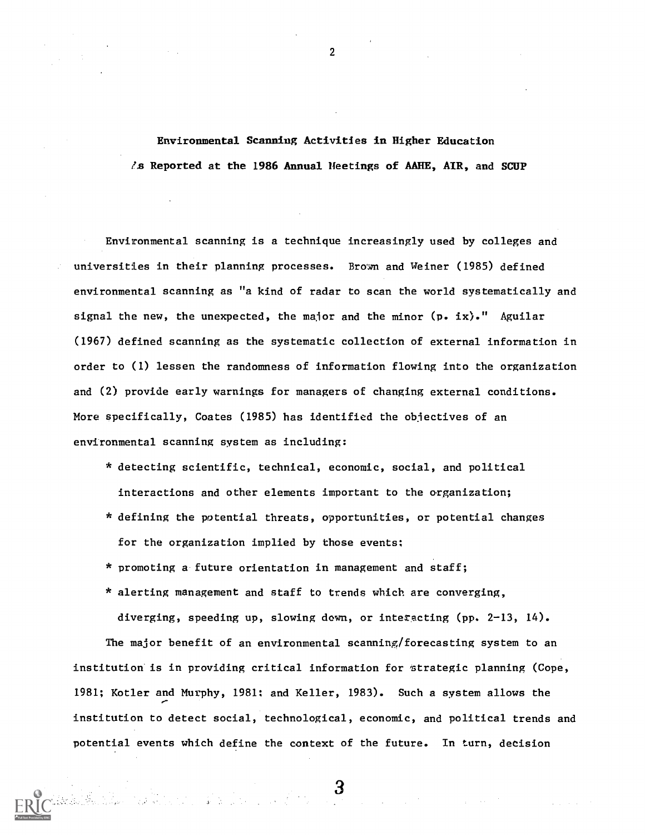Environmental Scanning Activities in Higher Education  $\ell$ s Reported at the 1986 Annual Heetings of AAHE, AIR, and SCUP

Environmental scanning is a technique increasingly used by colleges and universities in their planning processes. Brown and Weiner (1985) defined environmental scanning as "a kind of radar to scan the world systematically and signal the new, the unexpected, the major and the minor  $(p. ix).$ " Aguilar (1967) defined scanning as the systematic collection of external information in order to (1) lessen the randomness of information flowing into the organization and (2) provide early warnings for managers of changing external conditions. More specifically, Coates (1985) has identified the objectives of an environmental scanning system as including:

- \* detecting scientific, technical, economic, social, and political interactions and other elements important to the organization;
- \* defining the potential threats, opportunities, or potential changes for the organization implied by those events;
- \* promoting a future orientation in management and staff;
- \* alerting management and staff to trends which are converging, diverging, speeding up, slowing down, or interacting (pp. 2-13, 14).

The major benefit of an environmental scanning/forecasting system to an institution is in providing critical information for strategic planning (Cope, 1981; Kotler and Murphy, 1981; and Keller, 1983). Such a system allows the institution to detect social, technological, economic, and political trends and potential events which define the context of the future. In turn, decision

2

 $\mathbf{B}$  . The set of  $\mathcal{S}$ 

 $\label{eq:2.1} \frac{1}{\sqrt{2}}\int_{0}^{2\pi} \frac{1}{\sqrt{2}}\left(\frac{1}{\sqrt{2}}\right)^{2} \frac{1}{\sqrt{2}}\left(\frac{1}{\sqrt{2}}\right)^{2} \frac{1}{\sqrt{2}}\left(\frac{1}{\sqrt{2}}\right)^{2} \frac{1}{\sqrt{2}}\left(\frac{1}{\sqrt{2}}\right)^{2} \frac{1}{\sqrt{2}}\left(\frac{1}{\sqrt{2}}\right)^{2} \frac{1}{\sqrt{2}}\left(\frac{1}{\sqrt{2}}\right)^{2} \frac{1}{\sqrt{2}}\left(\frac{1}{\sqrt{2}}\$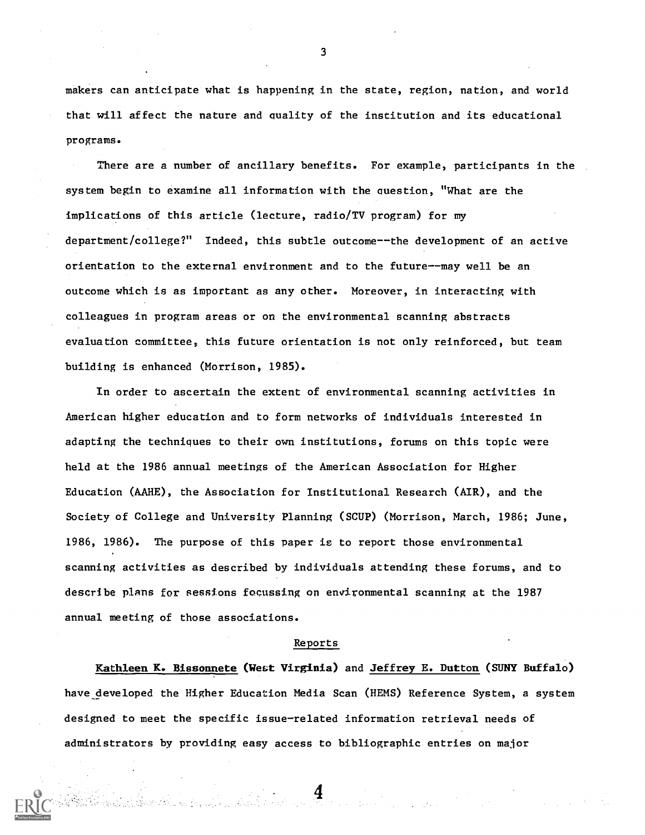makers can anticipate what is happening in the state, region, nation, and world that will affect the nature and quality of the institution and its educational programs.

There are a number of ancillary benefits. For example, participants in the system begin to examine all information with the question, "What are the implications of this article (lecture, radio/TV program) for my department/college?" Indeed, this subtle outcome--the development of an active orientation to the external environment and to the future--may well be an outcome which is as important as any other. Moreover, in interacting with colleagues in program areas or on the environmental scanning abstracts evaluation committee, this future orientation is not only reinforced, but team building is enhanced (Morrison, 1985).

In order to ascertain the extent of environmental scanning activities in American higher education and to form networks of individuals interested in adapting the techniques to their own institutions, forums on this topic were held at the 1986 annual meetings of the American Association for Higher Education (AAHE), the Association for Institutional Research (AIR), and the Society of College and University Planning (SCUP) (Morrison, March, 1986; June, 1986, 1986). The purpose of this paper is to report those environmental scanning activities as described by individuals attending these forums, and to describe plans for sessions focussing on environmental scanning at the 1987 annual meeting of those associations.

## Reports

Kathleen K. Bissonnete (West Virginia) and Jeffrey E. Dutton (SUNY Buffalo) have developed the Higher Education Media Scan (HEMS) Reference System, a system designed to meet the specific issue-related information retrieval needs of administrators by providing easy access to bibliographic entries on major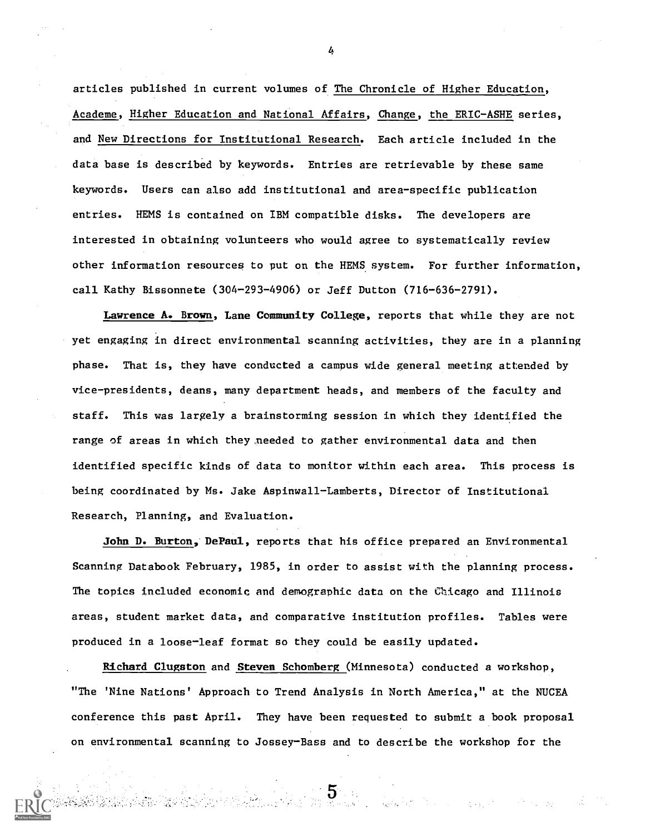articles published in current volumes of The Chronicle of Higher Education, Academe, Higher Education and National Affairs, Change, the ERIC-ASHE series, and New Directions for Institutional Research. Each article included in the data base is described by keywords. Entries are retrievable by these same keywords. Users can also add institutional and area-specific publication entries. HEMS is contained on IBM compatible disks. The developers are interested in obtaining volunteers who would agree to systematically review other information resources to put on the HEMS. system. For further information, call Kathy Bissonnete (304-293-4906) or Jeff Dutton (716-636-2791).

Lawrence A. Brown, Lane Community College, reports that while they are not yet engaging in direct environmental scanning activities, they are in a planning phase. That is, they have conducted a campus wide general meeting attended by vice-presidents, deans, many department heads, and members of the faculty and staff. This was largely a brainstorming session in which they identified the range of areas in which they ,needed to gather environmental data and then identified specific kinds of data to monitor within each area. This process is being coordinated by Ms. Jake Aspinwall-Lamberts, Director of Institutional Research, Planning, and Evaluation.

John D. Burton, DePaul, reports that his office prepared an Environmental Scanning Databook February, 1985, in order to assist with the planning process. The topics included economic and demographic data on the Chicago and Illinois areas, student market data, and comparative institution profiles. Tables were produced in a loose-leaf format so they could be easily updated.

Richard Clugston and Steven Schomberg (Minnesota) conducted a workshop, "The 'Nine Nations' Approach to Trend Analysis in North America," at the NUCEA conference this past April. They have been requested to submit a book proposal on environmental scanning to Jossey-Bass and to describe the workshop for the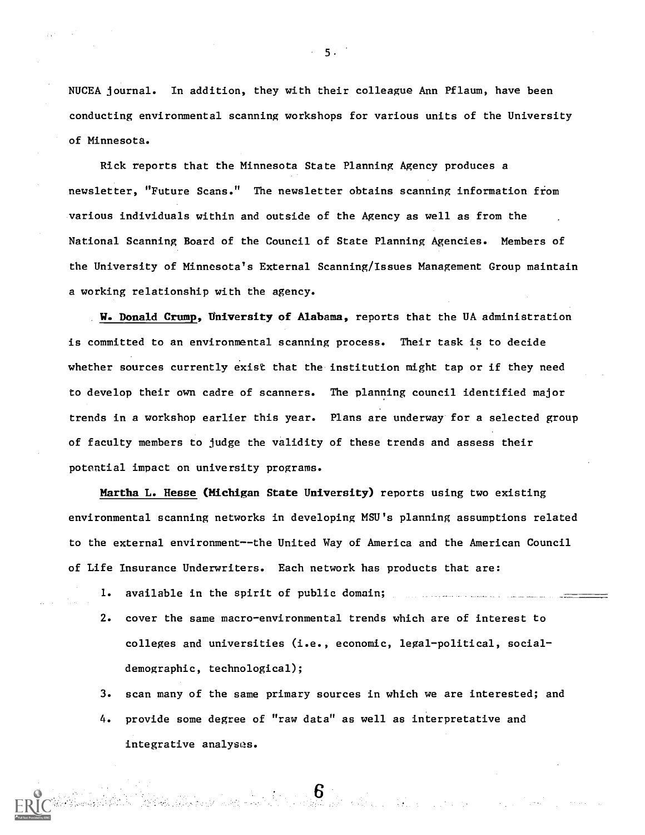NUCEA journal. In addition, they with their colleague Ann Pflaum, have been conducting environmental scanning workshops for various units of the University of Minnesota.

Rick reports that the Minnesota State Planning Agency produces a newsletter, "Future Scans." The newsletter obtains scanning information from various individuals within and outside of the Agency as well as from the National Scanning Board of the Council of State Planning Agencies. Members of the University of Minnesota's External Scanning/Issues Management Group maintain a working relationship with the agency.

W. Donald Crump, University of Alabama, reports that the UA administration is committed to an environmental scanning process. Their task is to decide whether sources currently exist that the institution might tap or if they need to develop their own cadre of scanners. The planning council identified major trends in a workshop earlier this year. Plans are underway for a selected group of faculty members to judge the validity of these trends and assess their potential impact on university programs.

Martha L. Hesse (Michigan State University) reports using two existing environmental scanning networks in developing MSU's planning assumptions related to the external environment--the United Way of America and the American Council of Life Insurance Underwriters. Each network has products that are:

- 1. available in the spirit of public domain;
- 2. cover the same macro-environmental trends which are of interest to colleges and universities (i.e., economic, legal-political, socialdemographic, technological);

3. scan many of the same primary sources in which we are interested; and

4. provide some degree of "raw data" as well as interpretative and integrative analysas.

ta tan.<br>Tantaka di kabang kata masi di tana dalam kata da tan dalam dalam

5.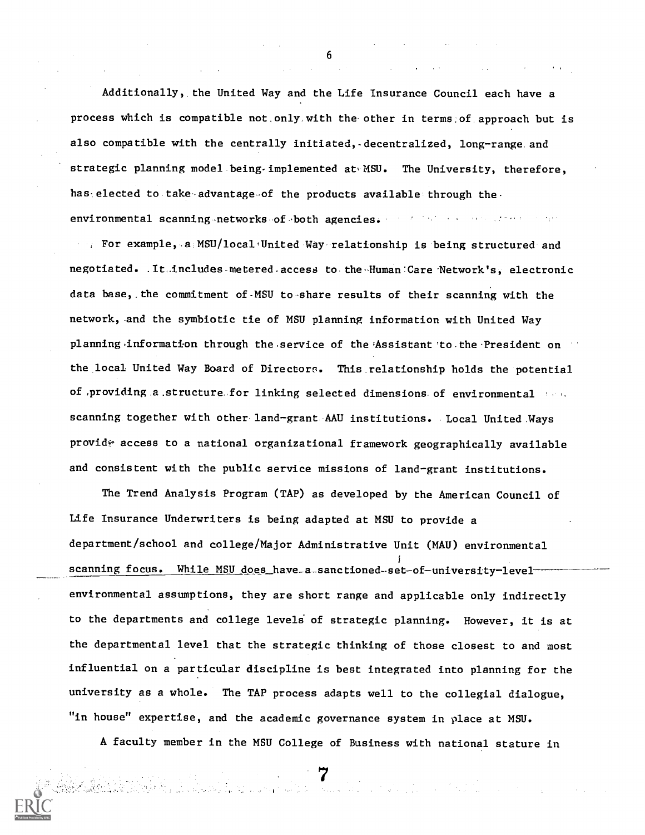Additionally, the United Way and the Life Insurance Council each have a process which is compatible not,only,with the other in terms,of.approach but is also compatible with the centrally initiated, decentralized, long-range and strategic planning model being implemented at MSU. The University, therefore, has elected to take advantage of the products available through theenvironmental scanning-networks-of,both agencies. The state and construction of the

For example, a MSU/local United Way-relationship is being structured and negotiated. .It includes metered access to the Human Care Network's, electronic data base, the commitment of MSU to share results of their scanning with the network, and the symbiotic tie of MSU planning information with United Way planning-information through the service of the Assistant to the President on the local United Way Board of Directors. This relationship holds the potential of providing a structure for linking selected dimensions of environmental  $\cdots$ . scanning together with other.land-grant-AAU institutions. Local United.Ways provid access to a national organizational framework geographically available and consistent with the public service missions of land-grant institutions.

The Trend Analysis Program (TAP) as developed by the American Council of Life Insurance Underwriters is being adapted at MSU to provide a department/school and college/Major Administrative Unit (MAU) environmental scanning focus. While MSU does have a sanctioned-set-of-university-levelenvironmental assumptions, they are short range and applicable only indirectly to the departments and college levels of strategic planning. However, it is at the departmental level that the strategic thinking of those closest to and most influential on a particular discipline is best integrated into planning for the university as a whole. The TAP process adapts well to the collegial dialogue, "in house" expertise, and the academic governance system in place at MSU.

A faculty member in the MSU College of Business with national stature in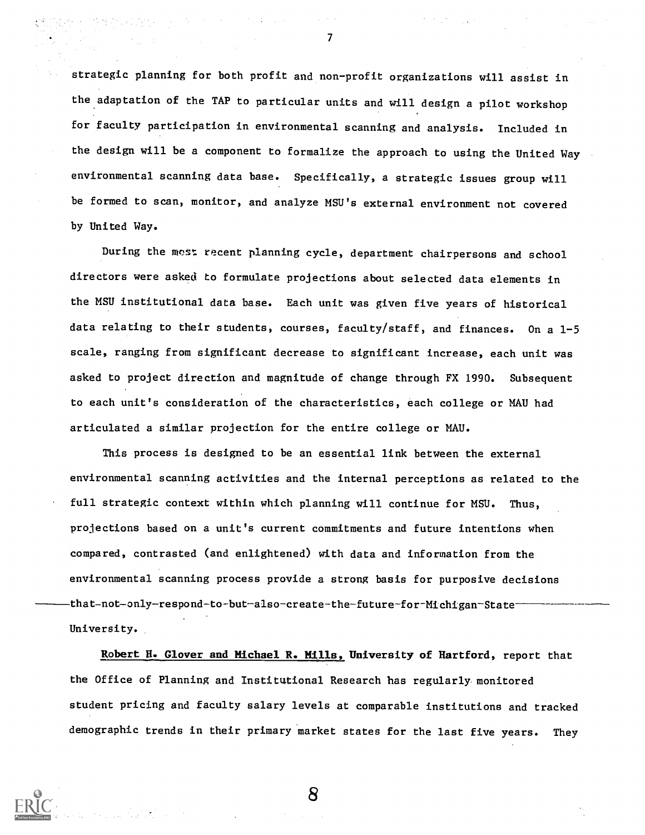strategic planning for both profit and non-profit organizations will assist in the adaptation of the TAP to particular units and will design a pilot workshop for faculty participation in environmental scanning and analysis. Included in the design will be a component to formalize the approach to using the United Way environmental scanning data base. Specifically, a strategic issues group will be formed to scan, monitor, and analyze MSU's external environment not covered by United Way.

7

During the most recent planning cycle, department chairpersons and school directors were asked to formulate projections about selected data elements in the MSU institutional data base. Each unit was given five years of historical data relating to their students, courses, faculty/staff, and finances. On a 1-5 scale, ranging from significant decrease to significant increase, each unit was asked to project direction and magnitude of change through FX 1990. Subsequent to each unit's consideration of the characteristics, each college or MAU had articulated a similar projection for the entire college or MAU.

This process is designed to be an essential link between the external environmental scanning activities and the internal perceptions as related to the full strategic context within which planning will continue for MSU. Thus, projections based on a unit's current commitments and future intentions when compared, contrasted (and enlightened) with data and information from the environmental scanning process provide a strong basis for purposive decisions that-not-only-respond-to-but-also-create-the-future-for-Michigan-State University.

Robert H. Glover and Michael R. Mills, University of Hartford, report that the Office of Planning and Institutional Research has regularly monitored student pricing and faculty salary levels at comparable institutions and tracked demographic trends in their primary market states for the last five years. They

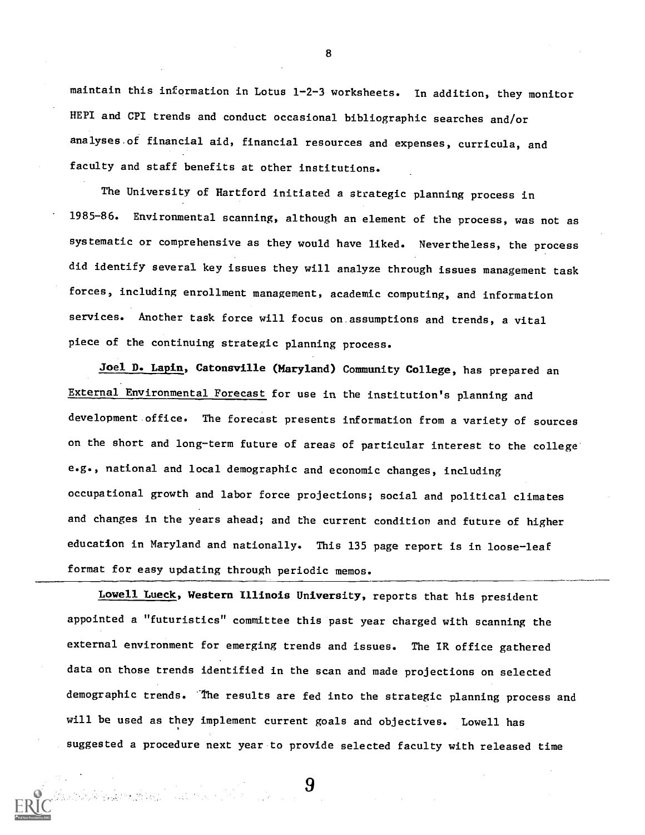maintain this information in Lotus 1-2-3 worksheets. In addition, they monitor HEPI and CPI trends and conduct occasional bibliographic searches and/or analyses.of financial aid, financial resources and expenses, curricula, and faculty and staff benefits at other institutions.

The University of Hartford initiated a strategic planning process in 1985-86. Environmental scanning, although an element of the process, was not as systematic or comprehensive as they would have liked. Nevertheless, the process did identify several key issues they will analyze through issues management task forces, including enrollment management, academic computing, and information services. Another task force will focus on.assumptions and trends, a vital piece of the continuing strategic planning process.

Joel D. Lapin, Catonsville (Maryland) Community College, has prepared an External Environmental Forecast for use in the institution's planning and development office. The forecast presents information from a variety of sources on the short and long-term future of areas of particular interest to the college' e.g., national and local demographic and economic changes, including occupational growth and labor force projections; social and political climates and changes in the years ahead; and the current condition and future of higher education in Maryland and nationally. This 135 page report is in loose-leaf format for easy updating through periodic memos.

Lowell Lueck, Western Illinois University, reports that his president appointed a "futuristics" committee this past year charged with scanning the external environment for emerging trends and issues. The IR office gathered data on those trends identified in the scan and made projections on selected demographic trends. The results are fed into the strategic planning process and will be used as they implement current goals and objectives. Lowell has suggested a procedure next year to provide selected faculty with released time

9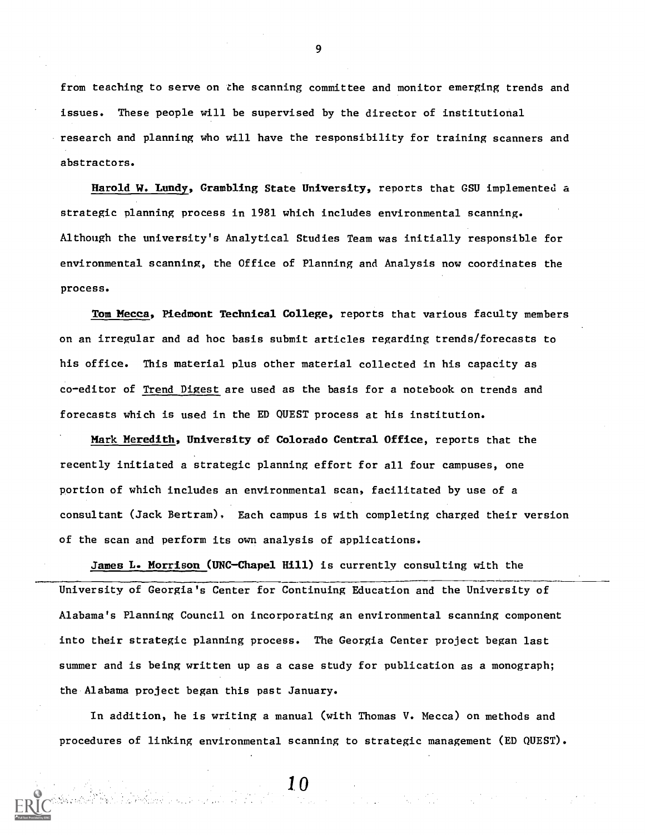from teaching to serve on the scanning committee and monitor emerging trends and issues. These people will be supervised by the director of institutional research and planning who will have the responsibility for training scanners and abstractors.

Harold W. Imndy, Grambling State University, reports that GSU implemented a strategic planning process in 1981 which includes environmental scanning. Although the university's Analytical Studies Team was initially responsible for environmental scanning, the Office of Planning and Analysis now coordinates the process.

Tom Mecca, Piedmont Technical College, reports that various faculty members on an irregular and ad hoc basis submit articles regarding trends/forecasts to his office. This material plus other material collected in his capacity as co-editor of Trend Digest are used as the basis for a notebook on trends and forecasts which is used in the ED QUEST process at his institution.

Mark Meredith, University of Colorado Central Office, reports that the recently initiated a strategic planning effort for all four campuses, one portion of which includes an environmental scan, facilitated by use of a consultant (Jack Bertram), Each campus is with completing charged their version of the scan and perform its own analysis of applications.

James L. Morrison (UNC-Chapel Hill) is currently consulting with the University of Georgia's Center for Continuing Education and the University of Alabama's Planning Council on incorporating an environmental scanning component into their strategic planning process. The Georgia Center project began last summer and is being written up as a case study for publication as a monograph; the Alabama project began this past January.

In addition, he is writing a manual (with Thomas V. Mecca) on methods and procedures of linking environmental scanning to strategic management (ED QUEST).

10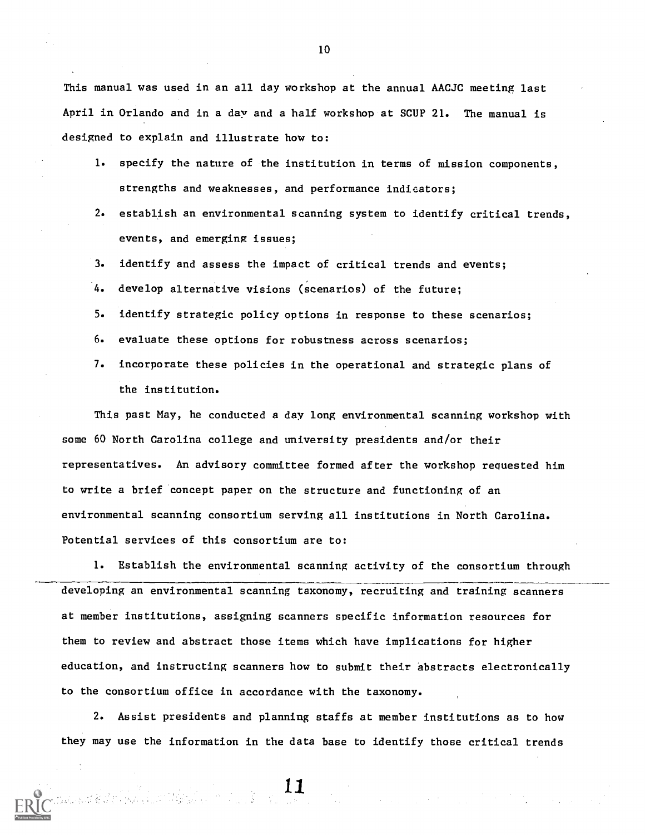This manual was used in an all day workshop at the annual AACJC meeting last April in Orlando and in a day and a half workshop at SCUP 21. The manual is designed to explain and illustrate how to:

- 1. specify the nature of the institution in terms of mission components, strengths and weaknesses, and performance indicators;
- 2. establish an environmental scanning system to identify critical trends, events, and emerging issues;
- 3. identify and assess the impact of critical trends and events;
- 4. develop alternative visions (scenarios) of the future;
- 5. identify strategic policy options in response to these scenarios;
- 6. evaluate these options for robustness across scenarios;
- 7. incorporate these policies in the operational and strategic plans of the institution.

This past May, he conducted a day long environmental scanning workshop with some 60 North Carolina college and university presidents and/or their representatives. An advisory committee formed after the workshop requested him to write a brief concept paper on the structure and functioning of an environmental scanning consortium serving all institutions in North Carolina. Potential services of this consortium are to:

1. Establish the environmental scanning activity of the consortium through developing an environmental scanning taxonomy, recruiting and training scanners at member institutions, assigning scanners specific information resources for them to review and abstract those items which have implications for higher education, and instructing scanners how to submit their abstracts electronically to the consortium office in accordance with the taxonomy.

2. Assist presidents and planning staffs at member institutions as to how they may use the information in the data base to identify those critical trends

 $\label{eq:2.1} \mathcal{L}(\mathcal{A}) = \mathcal{L}(\mathcal{A}) = \mathcal{L}(\mathcal{A}) = \mathcal{L}(\mathcal{A}) = \mathcal{L}(\mathcal{A})$ 

11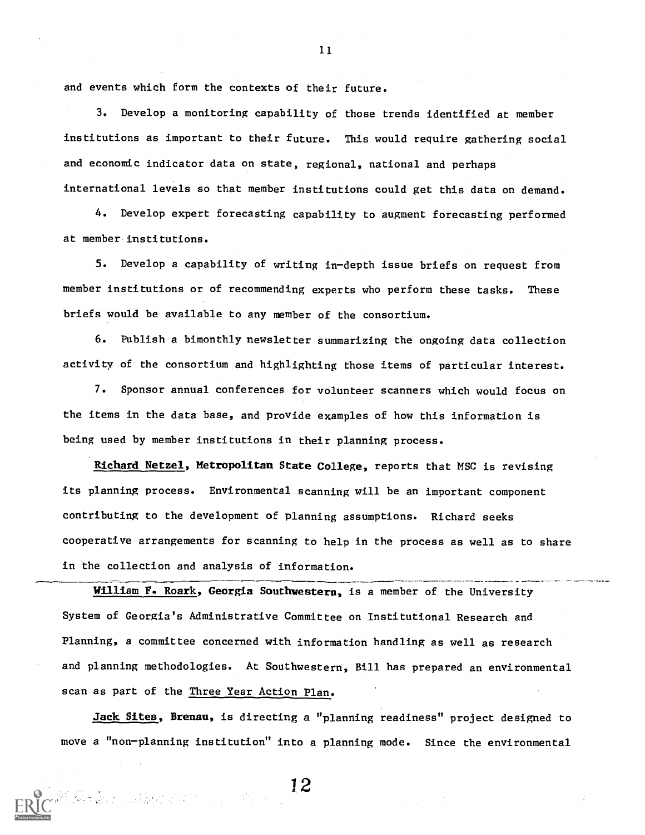and events which form the contexts of their future.

3. Develop a monitoring capability of those trends identified at member institutions as important to their future. This would require gathering social and economic indicator data on state, regional, national and perhaps international levels so that member institutions could get this data on demand.

4. Develop expert forecasting capability to augment forecasting performed at member institutions.

5. Develop a capability of writing in-depth issue briefs on request from member institutions or of recommending experts who perform these tasks. These briefs would be available to any member of the consortium.

6. Publish a bimonthly newsletter summarizing the ongoing data collection activity of the consortium and highlighting those items of particular interest.

7. Sponsor annual conferences for volunteer scanners which would focus on the items in the data base, and provide examples of how this information is being used by member institutions in their planning process.

Richard Netzel, Metropolitan State College, reports that MSC is revising its planning process. Environmental scanning will be an important component contributing to the development of planning assumptions. Richard seeks cooperative arrangements for scanning to help in the process as well as to share in the collection and analysis of information.

William F. Roark, Georgia Southwestern, is a member of the University System of Georgia's Administrative Committee on Institutional Research and Planning, a committee concerned with information handling as well as research and planning methodologies. At Southwestern, Bill has prepared an environmental scan as part of the Three Year Action Plan.

Jack Sites, Brenau, is directing a "planning readiness" project designed to move a "non-planning institution" into a planning mode. Since the environmental

1 2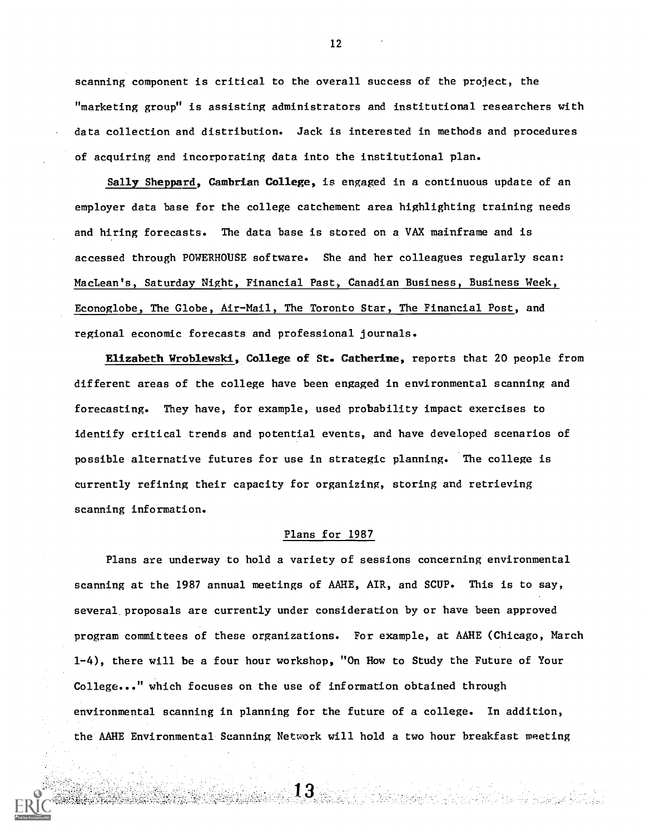scanning component is critical to the overall success of the project, the "marketing group" is assisting administrators and institutional researchers with data collection and distribution. Jack is interested in methods and procedures of acquiring and incorporating data into the institutional plan.

Sally Sheppard, Cambrian College, is engaged in a continuous update of an employer data base for the college catchement area highlighting training needs and hiring forecasts. The data base is stored on a VAX mainframe and is accessed through POWERHOUSE software. She and her colleagues regularly scan: MacLean's, Saturday Night, Financial Past, Canadian Business, Business Week, Econoglobe, The Globe, Air-Mail, The Toronto Star, The Financial Post, and regional economic forecasts and professional journals.

Elizabeth Wroblewski, College of St. Catherine, reports that 20 people from different areas of the college have been engaged in environmental scanning and forecasting. They have, for example, used probability impact exercises to identify critical trends and potential events, and have developed scenarios of possible alternative futures for use in strategic planning. The college is currently refining their capacity for organizing, storing and retrieving scanning information.

## Plans for 1987

Plans are underway to hold a variety of sessions concerning environmental scanning at the 1987 annual meetings of AAHE, AIR, and SCUP. This is to say, several proposals are currently under consideration by or have been approved program committees of these organizations. For example, at AAHE (Chicago, March 1-4), there will be a four hour workshop, "On How to Study the Future of Your College..." which focuses on the use of information obtained through environmental scanning in planning for the future of a college. In addition, the AAHE Environmental Scanning Network will hold a two hour breakfast meeting

13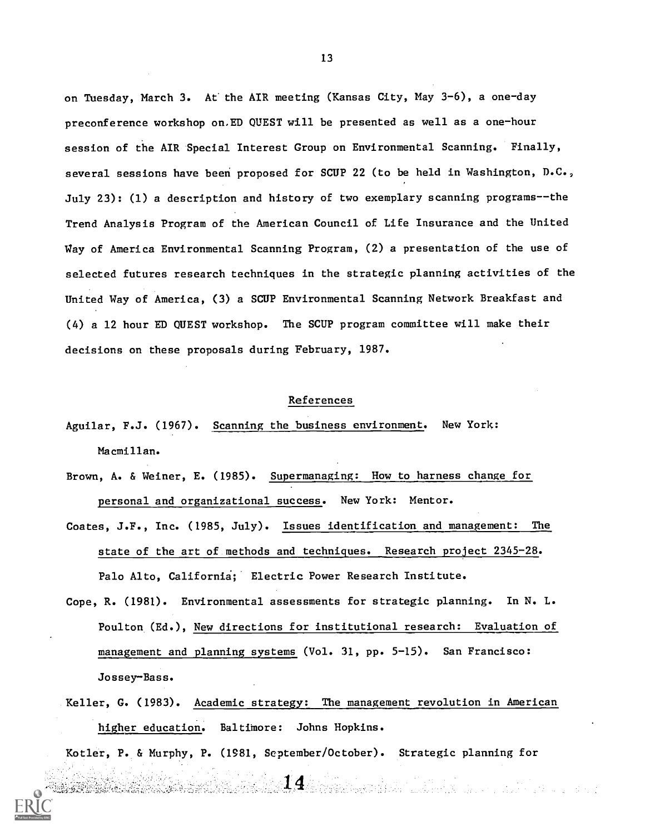on Tuesday, March 3. At the AIR meeting (Kansas City, May 3-6), a one-day preconference workshop on.ED QUEST will be presented as well as a one-hour session of the AIR Special Interest Group on Environmental Scanning. Finally, several sessions have been proposed for SCUP 22 (to be held in Washington, D.C., July 23): (1) a description and history of two exemplary scanning programs--the Trend Analysis Program of the American Council of Life Insurance and the United Way of America Environmental Scanning Program, (2) a presentation of the use of selected futures research techniques in the strategic planning activities of the United Way of America, (3) a SCUP Environmental Scanning Network Breakfast and (4) a 12 hour ED QUEST workshop. The SCUP program committee will make their decisions on these proposals during February, 1987.

## References

- Aguilar, F.J. (1967). Scanning the business environment. New York: Macmillan.
- Brown, A. & Weiner, E. (1985). Supermanaging: How to harness change for personal and organizational success. New York: Mentor.
- Coates, J.F., Inc. (1985, July). Issues identification and management: The state of the art of methods and techniques. Research project 2345-28. Palo Alto, California; Electric Power Research Institute.
- Cope, R. (1981). Environmental assessments for strategic planning. In N. L. Poulton (Ed.), New directions for institutional research: Evaluation of management and planning systems (Vol. 31, pp. 5-15). San Francisco: Jossey-Bass.
- Keller, G. (1983). Academic strategy: The management revolution in American higher education. Baltimore: Johns Hopkins.

14 - Santa Martin, artsur altres e

Kotler, P. & Murphy, P. (1981, September/October). Strategic planning for